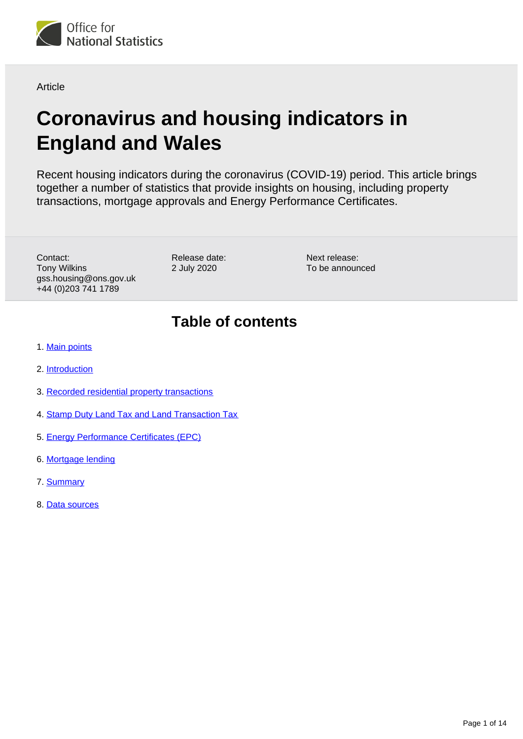<span id="page-0-0"></span>

Article

# **Coronavirus and housing indicators in England and Wales**

Recent housing indicators during the coronavirus (COVID-19) period. This article brings together a number of statistics that provide insights on housing, including property transactions, mortgage approvals and Energy Performance Certificates.

Contact: Tony Wilkins gss.housing@ons.gov.uk +44 (0)203 741 1789

Release date: 2 July 2020

Next release: To be announced

# **Table of contents**

- 1. [Main points](#page-1-0)
- 2. [Introduction](#page-1-1)
- 3. [Recorded residential property transactions](#page-1-2)
- 4. [Stamp Duty Land Tax and Land Transaction Tax](#page-6-0)
- 5. [Energy Performance Certificates \(EPC\)](#page-9-0)
- 6. [Mortgage lending](#page-10-0)
- 7. [Summary](#page-12-0)
- 8. [Data sources](#page-13-0)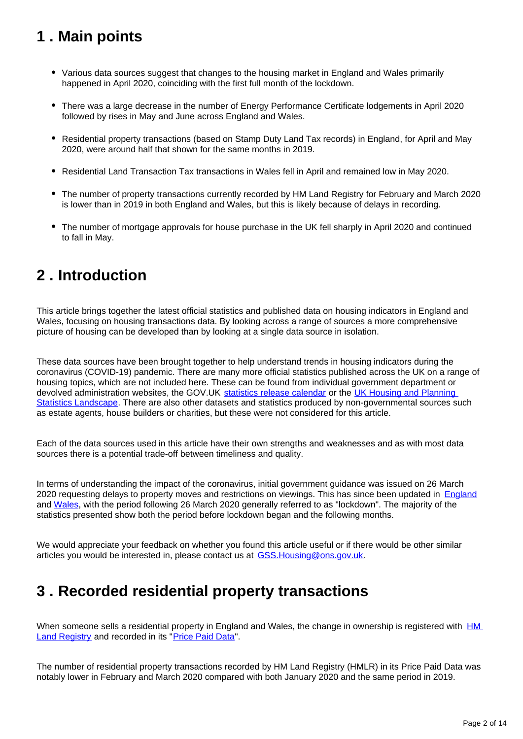# <span id="page-1-0"></span>**1 . Main points**

- Various data sources suggest that changes to the housing market in England and Wales primarily happened in April 2020, coinciding with the first full month of the lockdown.
- There was a large decrease in the number of Energy Performance Certificate lodgements in April 2020 followed by rises in May and June across England and Wales.
- Residential property transactions (based on Stamp Duty Land Tax records) in England, for April and May 2020, were around half that shown for the same months in 2019.
- Residential Land Transaction Tax transactions in Wales fell in April and remained low in May 2020.
- The number of property transactions currently recorded by HM Land Registry for February and March 2020 is lower than in 2019 in both England and Wales, but this is likely because of delays in recording.
- The number of mortgage approvals for house purchase in the UK fell sharply in April 2020 and continued to fall in May.

# <span id="page-1-1"></span>**2 . Introduction**

This article brings together the latest official statistics and published data on housing indicators in England and Wales, focusing on housing transactions data. By looking across a range of sources a more comprehensive picture of housing can be developed than by looking at a single data source in isolation.

These data sources have been brought together to help understand trends in housing indicators during the coronavirus (COVID-19) pandemic. There are many more official statistics published across the UK on a range of housing topics, which are not included here. These can be found from individual government department or devolved administration websites, the GOV.UK [statistics release calendar](https://www.gov.uk/search/research-and-statistics?content_store_document_type=statistics_published&level_one_taxon=4794066e-e3cc-425e-8cc4-e7ff3edb4c39&order=updated-newest) or the UK Housing and Planning [Statistics Landscape](https://gss.civilservice.gov.uk/dashboard/tools/housing-and-planning-statistics/landing.html). There are also other datasets and statistics produced by non-governmental sources such as estate agents, house builders or charities, but these were not considered for this article.

Each of the data sources used in this article have their own strengths and weaknesses and as with most data sources there is a potential trade-off between timeliness and quality.

In terms of understanding the impact of the coronavirus, initial government guidance was issued on 26 March 2020 requesting delays to property moves and restrictions on viewings. This has since been updated in **[England](https://www.gov.uk/guidance/government-advice-on-home-moving-during-the-coronavirus-covid-19-outbreak)** and [Wales,](https://gov.wales/moving-home-during-coronavirus-pandemic) with the period following 26 March 2020 generally referred to as "lockdown". The majority of the statistics presented show both the period before lockdown began and the following months.

We would appreciate your feedback on whether you found this article useful or if there would be other similar articles you would be interested in, please contact us at GSS. Housing@ons.gov.uk.

# <span id="page-1-2"></span>**3 . Recorded residential property transactions**

When someone sells a residential property in England and Wales, the change in ownership is registered with **HM** [Land Registry](https://www.gov.uk/government/organisations/land-registry) and recorded in its "[Price Paid Data](https://www.gov.uk/government/collections/price-paid-data)".

The number of residential property transactions recorded by HM Land Registry (HMLR) in its Price Paid Data was notably lower in February and March 2020 compared with both January 2020 and the same period in 2019.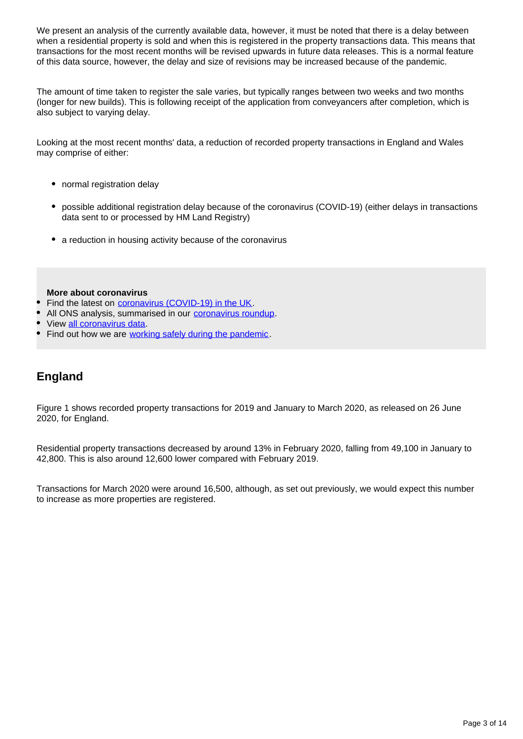We present an analysis of the currently available data, however, it must be noted that there is a delay between when a residential property is sold and when this is registered in the property transactions data. This means that transactions for the most recent months will be revised upwards in future data releases. This is a normal feature of this data source, however, the delay and size of revisions may be increased because of the pandemic.

The amount of time taken to register the sale varies, but typically ranges between two weeks and two months (longer for new builds). This is following receipt of the application from conveyancers after completion, which is also subject to varying delay.

Looking at the most recent months' data, a reduction of recorded property transactions in England and Wales may comprise of either:

- normal registration delay
- possible additional registration delay because of the coronavirus (COVID-19) (either delays in transactions data sent to or processed by HM Land Registry)
- a reduction in housing activity because of the coronavirus

**More about coronavirus**

- Find the latest on [coronavirus \(COVID-19\) in the UK](https://www.ons.gov.uk/peoplepopulationandcommunity/healthandsocialcare/conditionsanddiseases/bulletins/coronavirustheukeconomyandsocietyfasterindicators/latest).
- All ONS analysis, summarised in our [coronavirus roundup.](https://www.ons.gov.uk/peoplepopulationandcommunity/healthandsocialcare/conditionsanddiseases/articles/coronaviruscovid19roundup/latest)
- View [all coronavirus data.](https://www.ons.gov.uk/peoplepopulationandcommunity/healthandsocialcare/conditionsanddiseases/datalist)
- Find out how we are [working safely during the pandemic](https://www.ons.gov.uk/news/statementsandletters/ensuringyoursafetyduringcovid19).

## **England**

Figure 1 shows recorded property transactions for 2019 and January to March 2020, as released on 26 June 2020, for England.

Residential property transactions decreased by around 13% in February 2020, falling from 49,100 in January to 42,800. This is also around 12,600 lower compared with February 2019.

Transactions for March 2020 were around 16,500, although, as set out previously, we would expect this number to increase as more properties are registered.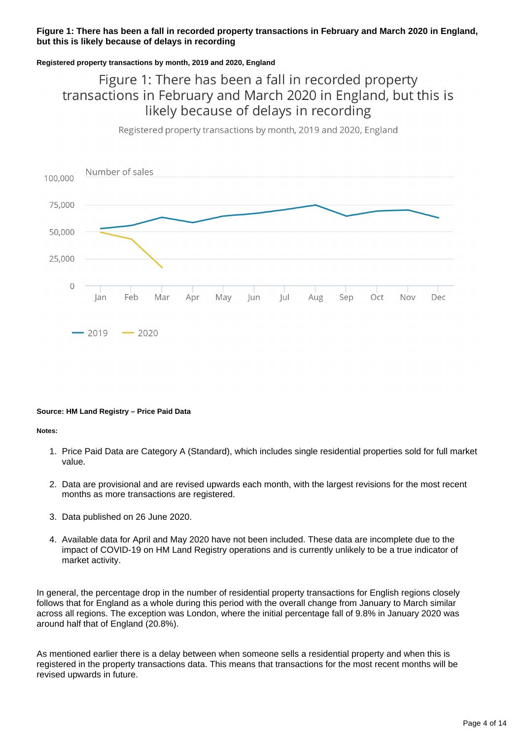## **Figure 1: There has been a fall in recorded property transactions in February and March 2020 in England, but this is likely because of delays in recording**

### **Registered property transactions by month, 2019 and 2020, England**

# Figure 1: There has been a fall in recorded property transactions in February and March 2020 in England, but this is likely because of delays in recording

Registered property transactions by month, 2019 and 2020, England



#### **Source: HM Land Registry – Price Paid Data**

#### **Notes:**

- 1. Price Paid Data are Category A (Standard), which includes single residential properties sold for full market value.
- 2. Data are provisional and are revised upwards each month, with the largest revisions for the most recent months as more transactions are registered.
- 3. Data published on 26 June 2020.
- 4. Available data for April and May 2020 have not been included. These data are incomplete due to the impact of COVID-19 on HM Land Registry operations and is currently unlikely to be a true indicator of market activity.

In general, the percentage drop in the number of residential property transactions for English regions closely follows that for England as a whole during this period with the overall change from January to March similar across all regions. The exception was London, where the initial percentage fall of 9.8% in January 2020 was around half that of England (20.8%).

As mentioned earlier there is a delay between when someone sells a residential property and when this is registered in the property transactions data. This means that transactions for the most recent months will be revised upwards in future.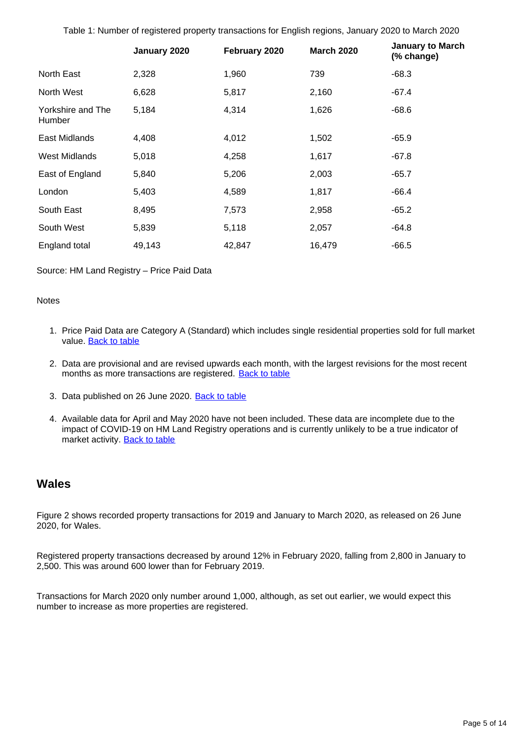Table 1: Number of registered property transactions for English regions, January 2020 to March 2020

|                             | January 2020 | February 2020 | <b>March 2020</b> | <b>January to March</b><br>(% change) |
|-----------------------------|--------------|---------------|-------------------|---------------------------------------|
| North East                  | 2,328        | 1,960         | 739               | $-68.3$                               |
| North West                  | 6,628        | 5,817         | 2,160             | $-67.4$                               |
| Yorkshire and The<br>Humber | 5,184        | 4,314         | 1,626             | -68.6                                 |
| East Midlands               | 4,408        | 4,012         | 1,502             | $-65.9$                               |
| <b>West Midlands</b>        | 5,018        | 4,258         | 1,617             | $-67.8$                               |
| East of England             | 5,840        | 5,206         | 2,003             | $-65.7$                               |
| London                      | 5,403        | 4,589         | 1,817             | $-66.4$                               |
| South East                  | 8,495        | 7,573         | 2,958             | $-65.2$                               |
| South West                  | 5,839        | 5,118         | 2,057             | -64.8                                 |
| England total               | 49,143       | 42,847        | 16,479            | $-66.5$                               |

Source: HM Land Registry – Price Paid Data

#### **Notes**

- 1. Price Paid Data are Category A (Standard) which includes single residential properties sold for full market value. **Back to table**
- 2. Data are provisional and are revised upwards each month, with the largest revisions for the most recent months as more transactions are registered. [Back to table](#page-0-0)
- 3. Data published on 26 June 2020. [Back to table](#page-0-0)
- 4. Available data for April and May 2020 have not been included. These data are incomplete due to the impact of COVID-19 on HM Land Registry operations and is currently unlikely to be a true indicator of market activity. **[Back to table](#page-0-0)**

## **Wales**

Figure 2 shows recorded property transactions for 2019 and January to March 2020, as released on 26 June 2020, for Wales.

Registered property transactions decreased by around 12% in February 2020, falling from 2,800 in January to 2,500. This was around 600 lower than for February 2019.

Transactions for March 2020 only number around 1,000, although, as set out earlier, we would expect this number to increase as more properties are registered.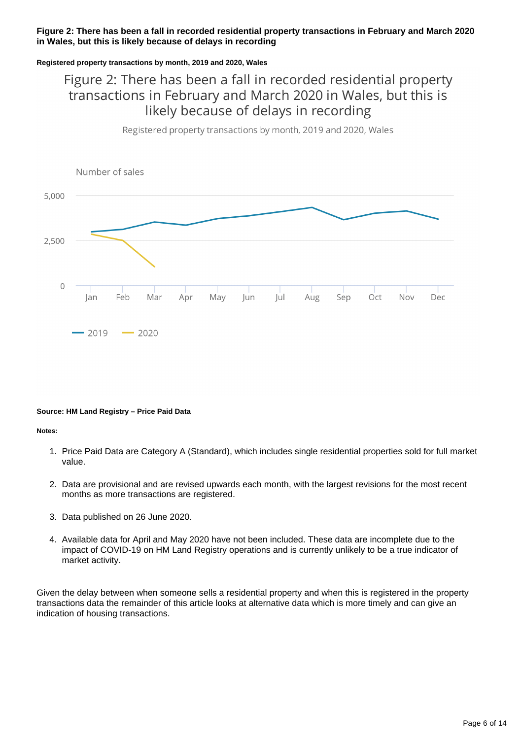### **Figure 2: There has been a fall in recorded residential property transactions in February and March 2020 in Wales, but this is likely because of delays in recording**

### **Registered property transactions by month, 2019 and 2020, Wales**

# Figure 2: There has been a fall in recorded residential property transactions in February and March 2020 in Wales, but this is likely because of delays in recording

Registered property transactions by month, 2019 and 2020, Wales



#### **Source: HM Land Registry – Price Paid Data**

#### **Notes:**

- 1. Price Paid Data are Category A (Standard), which includes single residential properties sold for full market value.
- 2. Data are provisional and are revised upwards each month, with the largest revisions for the most recent months as more transactions are registered.
- 3. Data published on 26 June 2020.
- 4. Available data for April and May 2020 have not been included. These data are incomplete due to the impact of COVID-19 on HM Land Registry operations and is currently unlikely to be a true indicator of market activity.

Given the delay between when someone sells a residential property and when this is registered in the property transactions data the remainder of this article looks at alternative data which is more timely and can give an indication of housing transactions.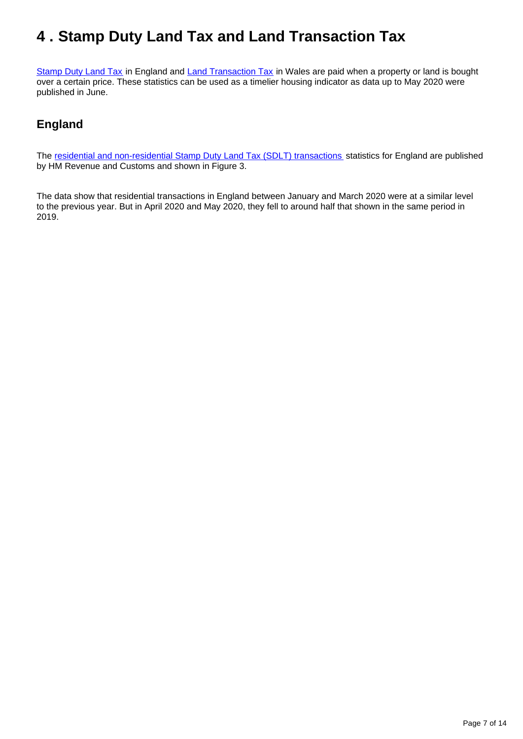# <span id="page-6-0"></span>**4 . Stamp Duty Land Tax and Land Transaction Tax**

[Stamp Duty Land Tax](https://www.gov.uk/stamp-duty-land-tax) in England and [Land Transaction Tax](https://gov.wales/land-transaction-tax-guide) in Wales are paid when a property or land is bought over a certain price. These statistics can be used as a timelier housing indicator as data up to May 2020 were published in June.

## **England**

The [residential and non-residential Stamp Duty Land Tax \(SDLT\) transactions](https://www.gov.uk/government/statistics/monthly-property-transactions-completed-in-the-uk-with-value-40000-or-above) statistics for England are published by HM Revenue and Customs and shown in Figure 3.

The data show that residential transactions in England between January and March 2020 were at a similar level to the previous year. But in April 2020 and May 2020, they fell to around half that shown in the same period in 2019.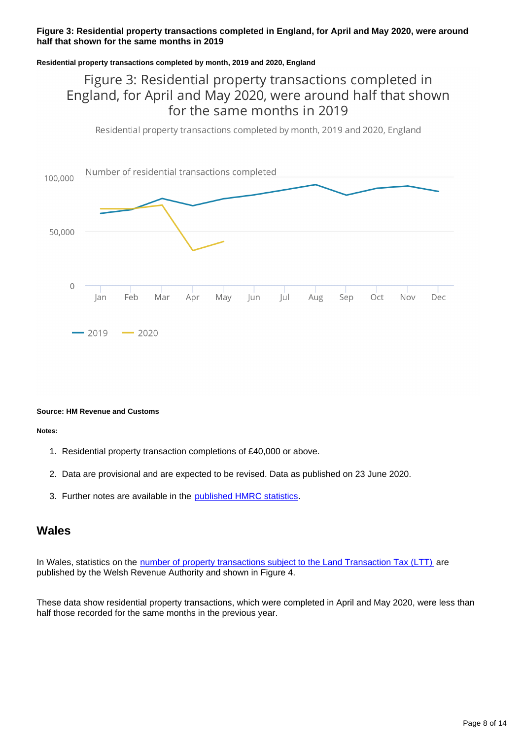## **Figure 3: Residential property transactions completed in England, for April and May 2020, were around half that shown for the same months in 2019**

### **Residential property transactions completed by month, 2019 and 2020, England**

# Figure 3: Residential property transactions completed in England, for April and May 2020, were around half that shown for the same months in 2019

Residential property transactions completed by month, 2019 and 2020, England



#### **Source: HM Revenue and Customs**

**Notes:**

- 1. Residential property transaction completions of £40,000 or above.
- 2. Data are provisional and are expected to be revised. Data as published on 23 June 2020.
- 3. Further notes are available in the **published HMRC statistics**.

## **Wales**

In Wales, statistics on the [number of property transactions subject to the Land Transaction Tax \(LTT\)](https://gov.wales/land-transaction-tax-statistics) are published by the Welsh Revenue Authority and shown in Figure 4.

These data show residential property transactions, which were completed in April and May 2020, were less than half those recorded for the same months in the previous year.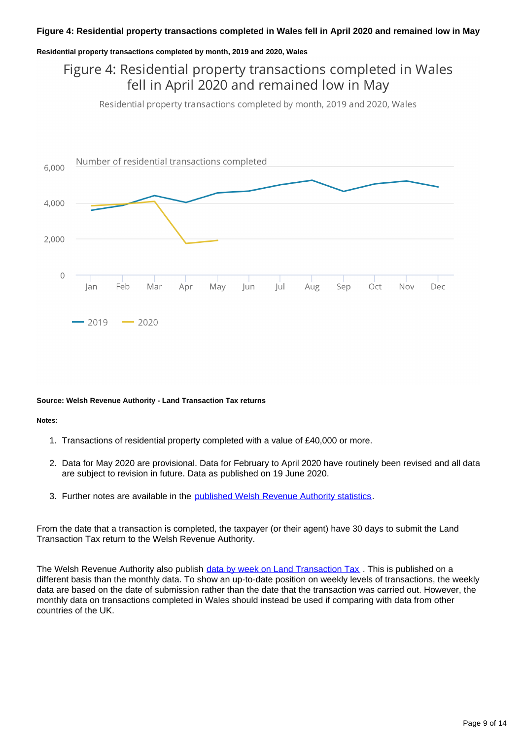#### **Residential property transactions completed by month, 2019 and 2020, Wales**

# Figure 4: Residential property transactions completed in Wales fell in April 2020 and remained low in May

Residential property transactions completed by month, 2019 and 2020, Wales



#### **Source: Welsh Revenue Authority - Land Transaction Tax returns**

#### **Notes:**

- 1. Transactions of residential property completed with a value of £40,000 or more.
- 2. Data for May 2020 are provisional. Data for February to April 2020 have routinely been revised and all data are subject to revision in future. Data as published on 19 June 2020.
- 3. Further notes are available in the [published Welsh Revenue Authority statistics.](https://gov.wales/land-transaction-tax-statistics-may-2020)

From the date that a transaction is completed, the taxpayer (or their agent) have 30 days to submit the Land Transaction Tax return to the Welsh Revenue Authority.

The Welsh Revenue Authority also publish [data by week on Land Transaction Tax](https://gov.wales/land-transaction-tax-statistics-may-2020) . This is published on a different basis than the monthly data. To show an up-to-date position on weekly levels of transactions, the weekly data are based on the date of submission rather than the date that the transaction was carried out. However, the monthly data on transactions completed in Wales should instead be used if comparing with data from other countries of the UK.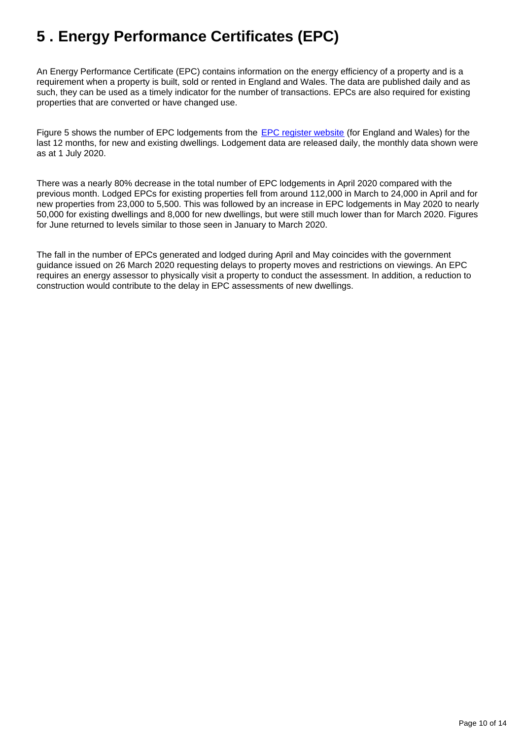# <span id="page-9-0"></span>**5 . Energy Performance Certificates (EPC)**

An Energy Performance Certificate (EPC) contains information on the energy efficiency of a property and is a requirement when a property is built, sold or rented in England and Wales. The data are published daily and as such, they can be used as a timely indicator for the number of transactions. EPCs are also required for existing properties that are converted or have changed use.

Figure 5 shows the number of EPC lodgements from the [EPC register website](https://www.epcregister.com/lodgementStats.html) (for England and Wales) for the last 12 months, for new and existing dwellings. Lodgement data are released daily, the monthly data shown were as at 1 July 2020.

There was a nearly 80% decrease in the total number of EPC lodgements in April 2020 compared with the previous month. Lodged EPCs for existing properties fell from around 112,000 in March to 24,000 in April and for new properties from 23,000 to 5,500. This was followed by an increase in EPC lodgements in May 2020 to nearly 50,000 for existing dwellings and 8,000 for new dwellings, but were still much lower than for March 2020. Figures for June returned to levels similar to those seen in January to March 2020.

The fall in the number of EPCs generated and lodged during April and May coincides with the government guidance issued on 26 March 2020 requesting delays to property moves and restrictions on viewings. An EPC requires an energy assessor to physically visit a property to conduct the assessment. In addition, a reduction to construction would contribute to the delay in EPC assessments of new dwellings.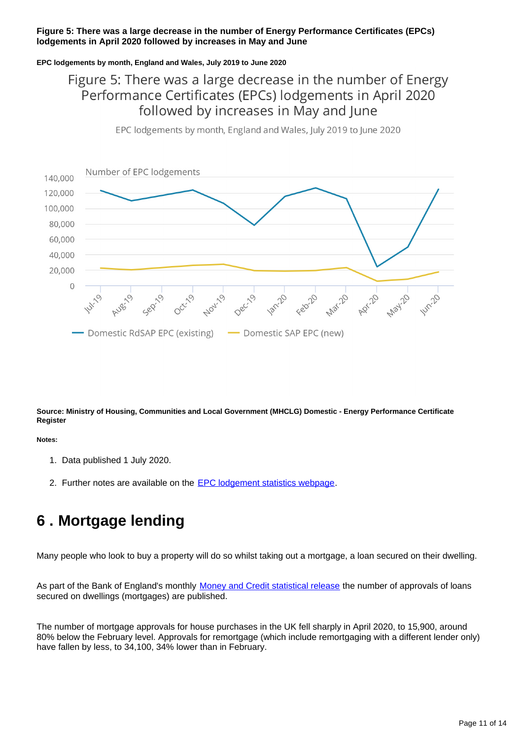### **Figure 5: There was a large decrease in the number of Energy Performance Certificates (EPCs) lodgements in April 2020 followed by increases in May and June**

### **EPC lodgements by month, England and Wales, July 2019 to June 2020**

# Figure 5: There was a large decrease in the number of Energy Performance Certificates (EPCs) lodgements in April 2020 followed by increases in May and June

Number of EPC lodgements 140,000 120,000 100,000 80,000 60,000 40,000 20,000  $\overline{0}$ API-10 **Windo** Domestic RdSAP EPC (existing) Domestic SAP EPC (new)

EPC lodgements by month, England and Wales, July 2019 to June 2020

#### **Source: Ministry of Housing, Communities and Local Government (MHCLG) Domestic - Energy Performance Certificate Register**

## **Notes:**

- 1. Data published 1 July 2020.
- 2. Further notes are available on the **[EPC lodgement statistics webpage](https://www.epcregister.com/lodgementStats.html)**.

# <span id="page-10-0"></span>**6 . Mortgage lending**

Many people who look to buy a property will do so whilst taking out a mortgage, a loan secured on their dwelling.

As part of the Bank of England's monthly [Money and Credit statistical release](https://www.bankofengland.co.uk/statistics/money-and-credit/2020/may-2020) the number of approvals of loans secured on dwellings (mortgages) are published.

The number of mortgage approvals for house purchases in the UK fell sharply in April 2020, to 15,900, around 80% below the February level. Approvals for remortgage (which include remortgaging with a different lender only) have fallen by less, to 34,100, 34% lower than in February.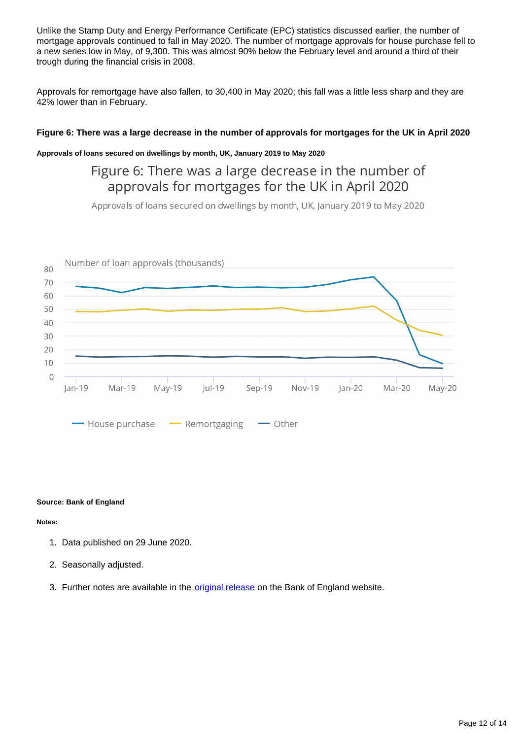Unlike the Stamp Duty and Energy Performance Certificate (EPC) statistics discussed earlier, the number of mortgage approvals continued to fall in May 2020. The number of mortgage approvals for house purchase fell to a new series low in May, of 9,300. This was almost 90% below the February level and around a third of their trough during the financial crisis in 2008.

Approvals for remortgage have also fallen, to 30,400 in May 2020; this fall was a little less sharp and they are 42% lower than in February.

### **Figure 6: There was a large decrease in the number of approvals for mortgages for the UK in April 2020**

### **Approvals of loans secured on dwellings by month, UK, January 2019 to May 2020**

Figure 6: There was a large decrease in the number of approvals for mortgages for the UK in April 2020

Approvals of loans secured on dwellings by month, UK, January 2019 to May 2020



- House purchase - Remortgaging  $\longrightarrow$  Other

#### **Source: Bank of England**

**Notes:**

- 1. Data published on 29 June 2020.
- 2. Seasonally adjusted.
- 3. Further notes are available in the **[original release](https://www.bankofengland.co.uk/statistics/money-and-credit/2020/may-2020)** on the Bank of England website.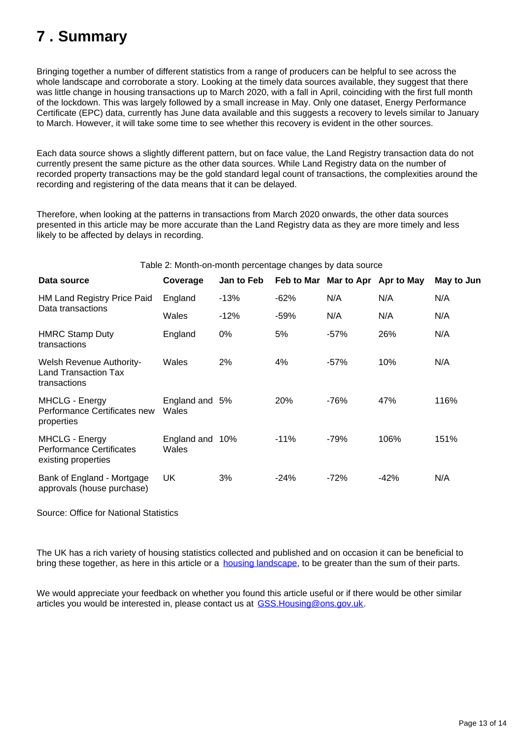# <span id="page-12-0"></span>**7 . Summary**

Bringing together a number of different statistics from a range of producers can be helpful to see across the whole landscape and corroborate a story. Looking at the timely data sources available, they suggest that there was little change in housing transactions up to March 2020, with a fall in April, coinciding with the first full month of the lockdown. This was largely followed by a small increase in May. Only one dataset, Energy Performance Certificate (EPC) data, currently has June data available and this suggests a recovery to levels similar to January to March. However, it will take some time to see whether this recovery is evident in the other sources.

Each data source shows a slightly different pattern, but on face value, the Land Registry transaction data do not currently present the same picture as the other data sources. While Land Registry data on the number of recorded property transactions may be the gold standard legal count of transactions, the complexities around the recording and registering of the data means that it can be delayed.

Therefore, when looking at the patterns in transactions from March 2020 onwards, the other data sources presented in this article may be more accurate than the Land Registry data as they are more timely and less likely to be affected by delays in recording.

### Table 2: Month-on-month percentage changes by data source

| Data source                                                                     | Coverage                 | <b>Jan to Feb</b> |            | Feb to Mar Mar to Apr Apr to May |        | May to Jun |
|---------------------------------------------------------------------------------|--------------------------|-------------------|------------|----------------------------------|--------|------------|
| <b>HM Land Registry Price Paid</b>                                              | England                  | $-13%$            | $-62%$     | N/A                              | N/A    | N/A        |
| Data transactions                                                               | Wales                    | $-12%$            | $-59%$     | N/A                              | N/A    | N/A        |
| <b>HMRC Stamp Duty</b><br>transactions                                          | England                  | $0\%$             | 5%         | $-57%$                           | 26%    | N/A        |
| <b>Welsh Revenue Authority-</b><br>Land Transaction Tax<br>transactions         | Wales                    | 2%                | 4%         | $-57%$                           | 10%    | N/A        |
| <b>MHCLG - Energy</b><br>Performance Certificates new<br>properties             | England and 5%<br>Wales  |                   | <b>20%</b> | -76%                             | 47%    | 116%       |
| <b>MHCLG - Energy</b><br><b>Performance Certificates</b><br>existing properties | England and 10%<br>Wales |                   | $-11%$     | $-79%$                           | 106%   | 151%       |
| Bank of England - Mortgage<br>approvals (house purchase)                        | UK                       | 3%                | $-24%$     | $-72%$                           | $-42%$ | N/A        |

Source: Office for National Statistics

The UK has a rich variety of housing statistics collected and published and on occasion it can be beneficial to bring these together, as here in this article or a [housing landscape](https://gss.civilservice.gov.uk/dashboard/tools/housing-and-planning-statistics/landing.html), to be greater than the sum of their parts.

We would appreciate your feedback on whether you found this article useful or if there would be other similar articles you would be interested in, please contact us at GSS.Housing@ons.gov.uk.